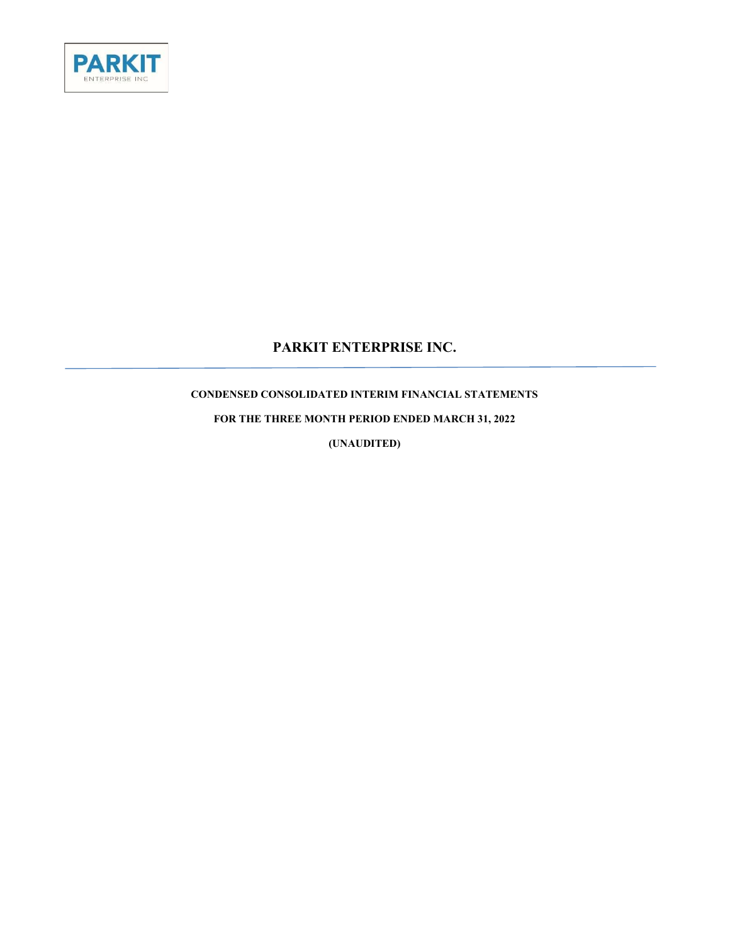

# PARKIT ENTERPRISE INC.

# CONDENSED CONSOLIDATED INTERIM FINANCIAL STATEMENTS

FOR THE THREE MONTH PERIOD ENDED MARCH 31, 2022

(UNAUDITED)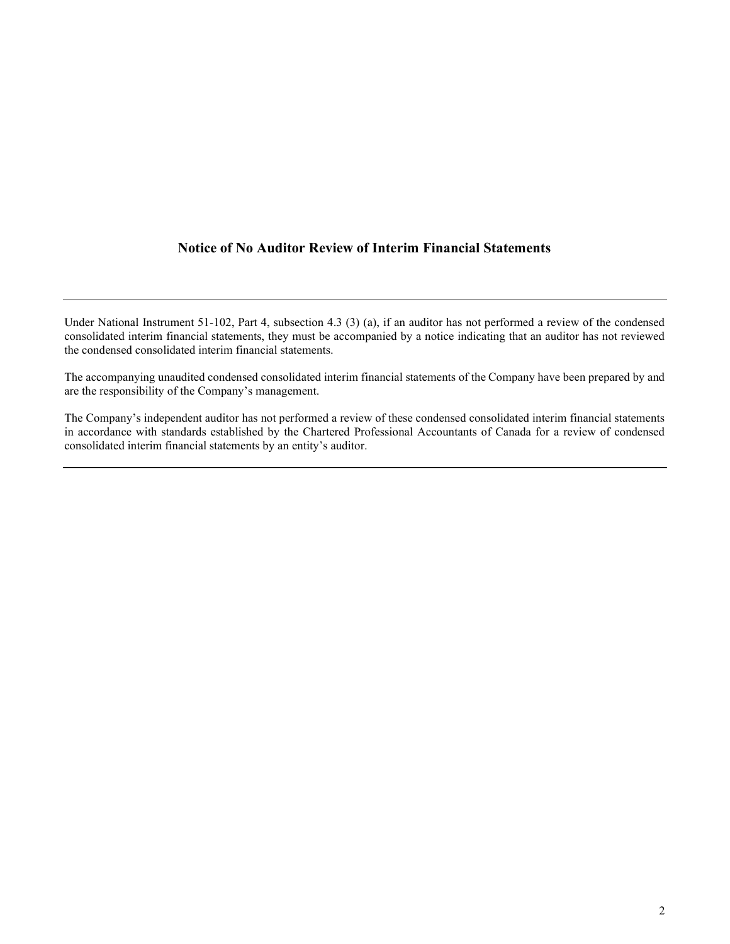## Notice of No Auditor Review of Interim Financial Statements

Under National Instrument 51-102, Part 4, subsection 4.3 (3) (a), if an auditor has not performed a review of the condensed consolidated interim financial statements, they must be accompanied by a notice indicating that an auditor has not reviewed the condensed consolidated interim financial statements.

The accompanying unaudited condensed consolidated interim financial statements of the Company have been prepared by and are the responsibility of the Company's management.

The Company's independent auditor has not performed a review of these condensed consolidated interim financial statements in accordance with standards established by the Chartered Professional Accountants of Canada for a review of condensed consolidated interim financial statements by an entity's auditor.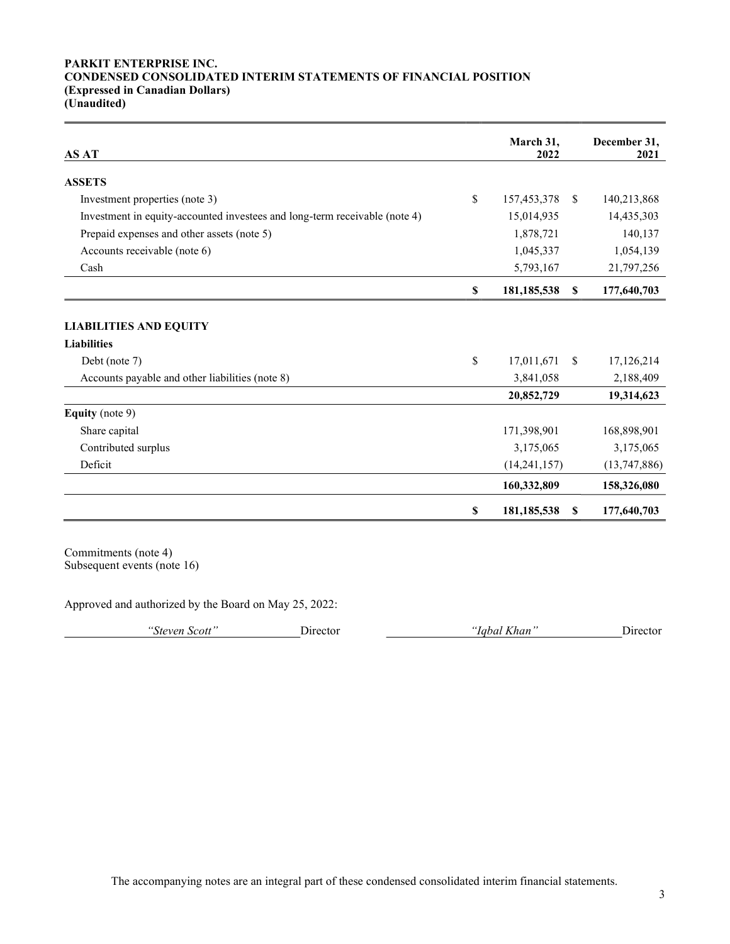#### PARKIT ENTERPRISE INC. CONDENSED CONSOLIDATED INTERIM STATEMENTS OF FINANCIAL POSITION (Expressed in Canadian Dollars) (Unaudited)

| <b>AS AT</b>                                                               | March 31,<br>2022   |               | December 31,<br>2021 |
|----------------------------------------------------------------------------|---------------------|---------------|----------------------|
| <b>ASSETS</b>                                                              |                     |               |                      |
| Investment properties (note 3)                                             | \$<br>157,453,378   | -S            | 140,213,868          |
| Investment in equity-accounted investees and long-term receivable (note 4) | 15,014,935          |               | 14,435,303           |
| Prepaid expenses and other assets (note 5)                                 | 1,878,721           |               | 140,137              |
| Accounts receivable (note 6)                                               | 1,045,337           |               | 1,054,139            |
| Cash                                                                       | 5,793,167           |               | 21,797,256           |
|                                                                            | \$<br>181, 185, 538 | \$            | 177,640,703          |
| <b>LIABILITIES AND EQUITY</b><br><b>Liabilities</b>                        |                     |               |                      |
| Debt (note 7)                                                              | \$<br>17,011,671    | <sup>\$</sup> | 17,126,214           |
| Accounts payable and other liabilities (note 8)                            | 3,841,058           |               | 2,188,409            |
|                                                                            | 20,852,729          |               | 19,314,623           |
| <b>Equity</b> (note 9)                                                     |                     |               |                      |
| Share capital                                                              | 171,398,901         |               | 168,898,901          |
| Contributed surplus                                                        | 3,175,065           |               | 3,175,065            |
| Deficit                                                                    | (14, 241, 157)      |               | (13, 747, 886)       |
|                                                                            | 160,332,809         |               | 158,326,080          |
|                                                                            | \$<br>181, 185, 538 | <sup>\$</sup> | 177,640,703          |

Commitments (note 4) Subsequent events (note 16)

Approved and authorized by the Board on May 25, 2022:

"Steven Scott" Director "Iqbal Khan" Director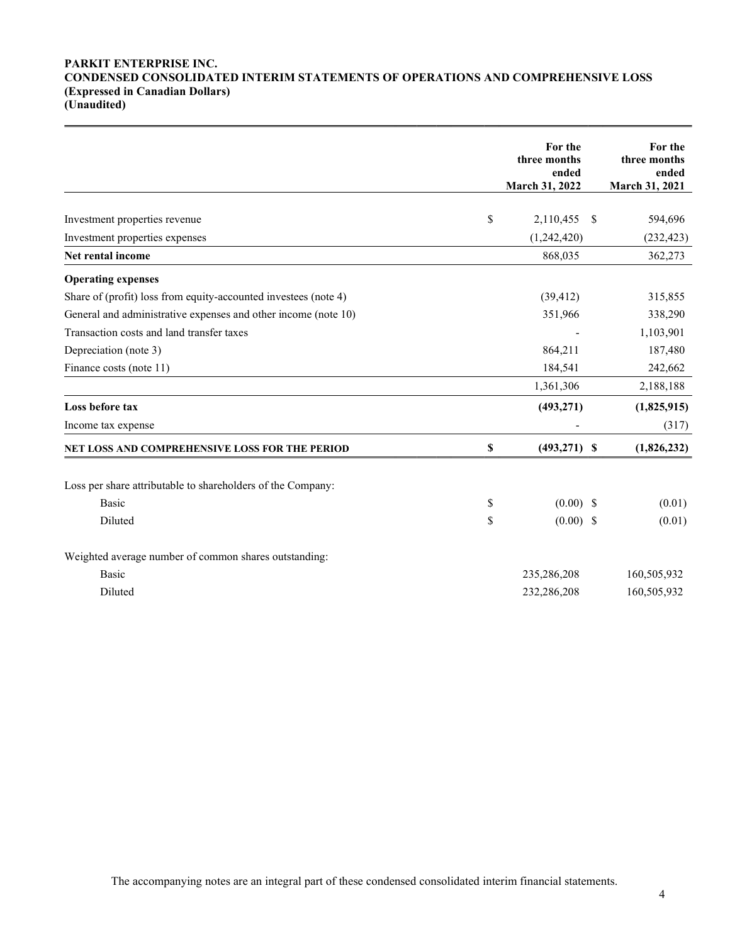### PARKIT ENTERPRISE INC. CONDENSED CONSOLIDATED INTERIM STATEMENTS OF OPERATIONS AND COMPREHENSIVE LOSS (Expressed in Canadian Dollars) (Unaudited)

|                                                                 |             | For the<br>three months<br>ended<br>March 31, 2022 | For the<br>three months<br>ended<br>March 31, 2021 |
|-----------------------------------------------------------------|-------------|----------------------------------------------------|----------------------------------------------------|
|                                                                 |             |                                                    |                                                    |
| Investment properties revenue                                   | \$          | 2,110,455 \$                                       | 594,696                                            |
| Investment properties expenses                                  |             | (1,242,420)                                        | (232, 423)                                         |
| Net rental income                                               |             | 868,035                                            | 362,273                                            |
| <b>Operating expenses</b>                                       |             |                                                    |                                                    |
| Share of (profit) loss from equity-accounted investees (note 4) |             | (39, 412)                                          | 315,855                                            |
| General and administrative expenses and other income (note 10)  |             | 351,966                                            | 338,290                                            |
| Transaction costs and land transfer taxes                       |             |                                                    | 1,103,901                                          |
| Depreciation (note 3)                                           |             | 864,211                                            | 187,480                                            |
| Finance costs (note 11)                                         |             | 184,541                                            | 242,662                                            |
|                                                                 |             | 1,361,306                                          | 2,188,188                                          |
| Loss before tax                                                 |             | (493, 271)                                         | (1,825,915)                                        |
| Income tax expense                                              |             |                                                    | (317)                                              |
| NET LOSS AND COMPREHENSIVE LOSS FOR THE PERIOD                  | $\mathbb S$ | $(493, 271)$ \$                                    | (1,826,232)                                        |
| Loss per share attributable to shareholders of the Company:     |             |                                                    |                                                    |
| <b>Basic</b>                                                    | \$          | $(0.00)$ \$                                        | (0.01)                                             |
| Diluted                                                         | \$          | $(0.00)$ \$                                        | (0.01)                                             |
| Weighted average number of common shares outstanding:           |             |                                                    |                                                    |
| Basic                                                           |             | 235,286,208                                        | 160,505,932                                        |
| Diluted                                                         |             | 232,286,208                                        | 160,505,932                                        |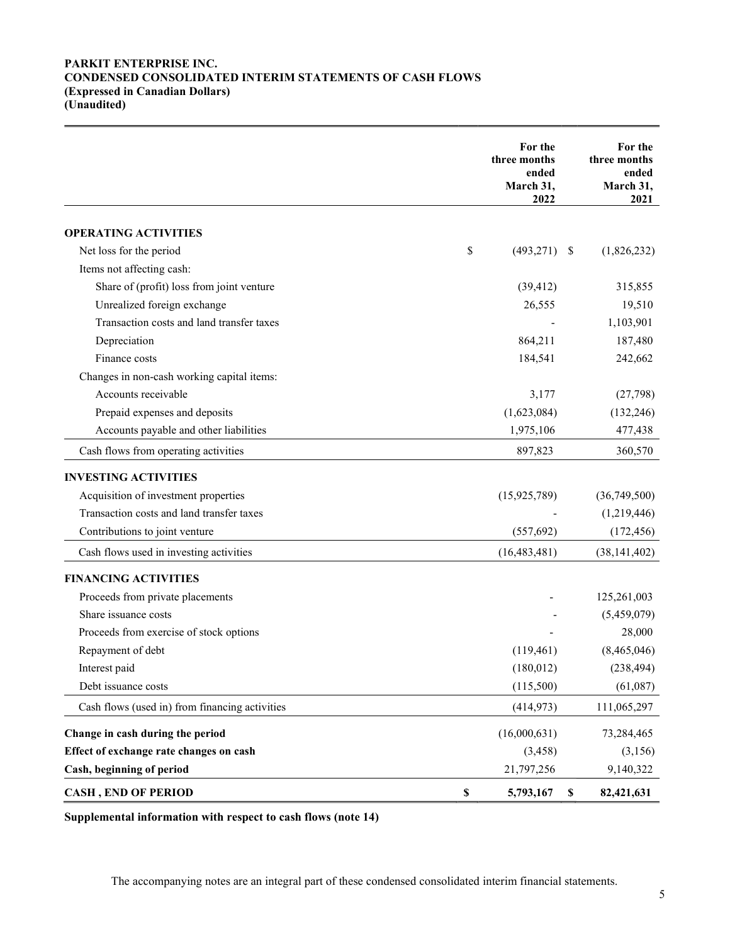## PARKIT ENTERPRISE INC. CONDENSED CONSOLIDATED INTERIM STATEMENTS OF CASH FLOWS (Expressed in Canadian Dollars) (Unaudited)

|                                                | For the<br>three months<br>ended<br>March 31,<br>2022 |             | For the<br>three months<br>ended<br>March 31,<br>2021 |
|------------------------------------------------|-------------------------------------------------------|-------------|-------------------------------------------------------|
| <b>OPERATING ACTIVITIES</b>                    |                                                       |             |                                                       |
| Net loss for the period                        | \$<br>(493, 271)                                      | - \$        | (1,826,232)                                           |
| Items not affecting cash:                      |                                                       |             |                                                       |
| Share of (profit) loss from joint venture      | (39, 412)                                             |             | 315,855                                               |
| Unrealized foreign exchange                    | 26,555                                                |             | 19,510                                                |
| Transaction costs and land transfer taxes      |                                                       |             | 1,103,901                                             |
| Depreciation                                   | 864,211                                               |             | 187,480                                               |
| Finance costs                                  | 184,541                                               |             | 242,662                                               |
| Changes in non-cash working capital items:     |                                                       |             |                                                       |
| Accounts receivable                            | 3,177                                                 |             | (27,798)                                              |
| Prepaid expenses and deposits                  | (1,623,084)                                           |             | (132, 246)                                            |
| Accounts payable and other liabilities         | 1,975,106                                             |             | 477,438                                               |
| Cash flows from operating activities           | 897,823                                               |             | 360,570                                               |
| <b>INVESTING ACTIVITIES</b>                    |                                                       |             |                                                       |
| Acquisition of investment properties           | (15, 925, 789)                                        |             | (36,749,500)                                          |
| Transaction costs and land transfer taxes      |                                                       |             | (1,219,446)                                           |
| Contributions to joint venture                 | (557, 692)                                            |             | (172, 456)                                            |
| Cash flows used in investing activities        | (16, 483, 481)                                        |             | (38, 141, 402)                                        |
| <b>FINANCING ACTIVITIES</b>                    |                                                       |             |                                                       |
| Proceeds from private placements               |                                                       |             | 125,261,003                                           |
| Share issuance costs                           |                                                       |             | (5,459,079)                                           |
| Proceeds from exercise of stock options        |                                                       |             | 28,000                                                |
| Repayment of debt                              | (119,461)                                             |             | (8,465,046)                                           |
| Interest paid                                  | (180, 012)                                            |             | (238, 494)                                            |
| Debt issuance costs                            | (115,500)                                             |             | (61,087)                                              |
| Cash flows (used in) from financing activities | (414, 973)                                            |             | 111,065,297                                           |
| Change in cash during the period               | (16,000,631)                                          |             | 73,284,465                                            |
| Effect of exchange rate changes on cash        | (3, 458)                                              |             | (3, 156)                                              |
| Cash, beginning of period                      | 21,797,256                                            |             | 9,140,322                                             |
| <b>CASH, END OF PERIOD</b>                     | \$<br>5,793,167                                       | $\mathbb S$ | 82,421,631                                            |

Supplemental information with respect to cash flows (note 14)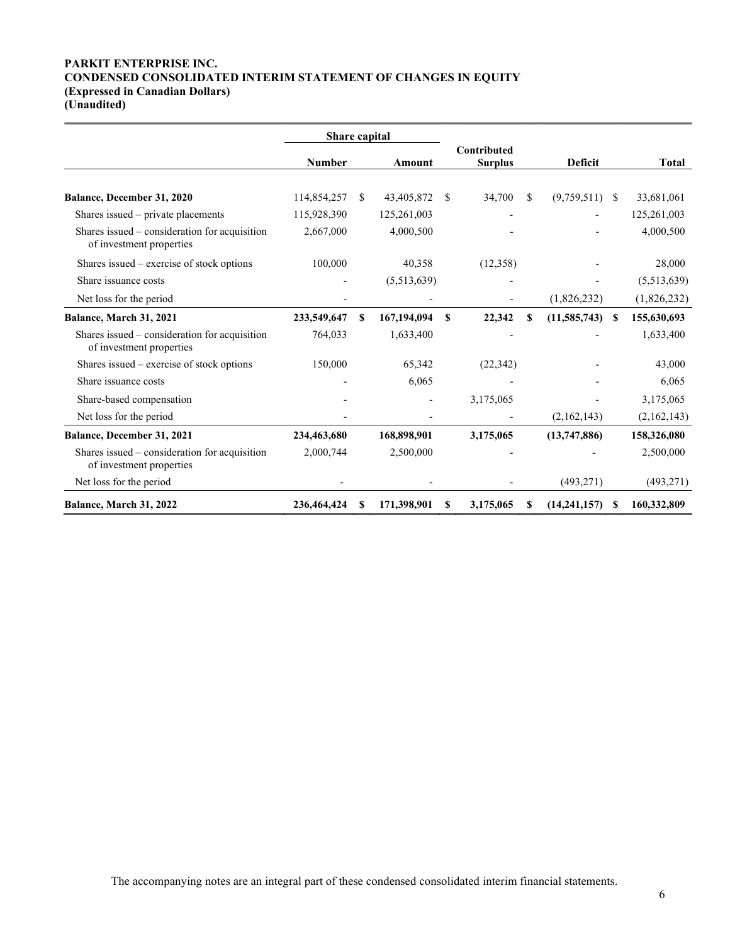### PARKIT ENTERPRISE INC. CONDENSED CONSOLIDATED INTERIM STATEMENT OF CHANGES IN EQUITY (Expressed in Canadian Dollars) (Unaudited)

|                                                                           | Share capital |    |               |               |                                      |                |                |              |             |
|---------------------------------------------------------------------------|---------------|----|---------------|---------------|--------------------------------------|----------------|----------------|--------------|-------------|
|                                                                           | <b>Number</b> |    | <b>Amount</b> |               | <b>Contributed</b><br><b>Surplus</b> | <b>Deficit</b> |                | <b>Total</b> |             |
|                                                                           |               |    |               |               |                                      |                |                |              |             |
| Balance, December 31, 2020                                                | 114,854,257   | -S | 43,405,872    | <sup>\$</sup> | 34,700                               | \$.            | (9,759,511)    | -S           | 33,681,061  |
| Shares issued – private placements                                        | 115,928,390   |    | 125,261,003   |               |                                      |                |                |              | 125,261,003 |
| Shares issued – consideration for acquisition<br>of investment properties | 2,667,000     |    | 4,000,500     |               |                                      |                |                |              | 4,000,500   |
| Shares issued – exercise of stock options                                 | 100,000       |    | 40,358        |               | (12,358)                             |                |                |              | 28,000      |
| Share issuance costs                                                      |               |    | (5,513,639)   |               |                                      |                |                |              | (5,513,639) |
| Net loss for the period                                                   |               |    |               |               |                                      |                | (1,826,232)    |              | (1,826,232) |
| Balance, March 31, 2021                                                   | 233,549,647   | S  | 167,194,094   | S             | 22,342                               | S              | (11, 585, 743) | $\mathbf{s}$ | 155,630,693 |
| Shares issued – consideration for acquisition<br>of investment properties | 764,033       |    | 1,633,400     |               |                                      |                |                |              | 1,633,400   |
| Shares issued – exercise of stock options                                 | 150,000       |    | 65,342        |               | (22, 342)                            |                |                |              | 43,000      |
| Share issuance costs                                                      |               |    | 6,065         |               |                                      |                |                |              | 6,065       |
| Share-based compensation                                                  |               |    |               |               | 3,175,065                            |                |                |              | 3,175,065   |
| Net loss for the period                                                   |               |    |               |               |                                      |                | (2,162,143)    |              | (2,162,143) |
| <b>Balance, December 31, 2021</b>                                         | 234,463,680   |    | 168,898,901   |               | 3,175,065                            |                | (13,747,886)   |              | 158,326,080 |
| Shares issued – consideration for acquisition<br>of investment properties | 2,000,744     |    | 2,500,000     |               |                                      |                |                |              | 2,500,000   |
| Net loss for the period                                                   |               |    |               |               |                                      |                | (493, 271)     |              | (493, 271)  |
| Balance, March 31, 2022                                                   | 236,464,424   | S  | 171,398,901   | \$            | 3,175,065                            | \$             | (14, 241, 157) | S            | 160,332,809 |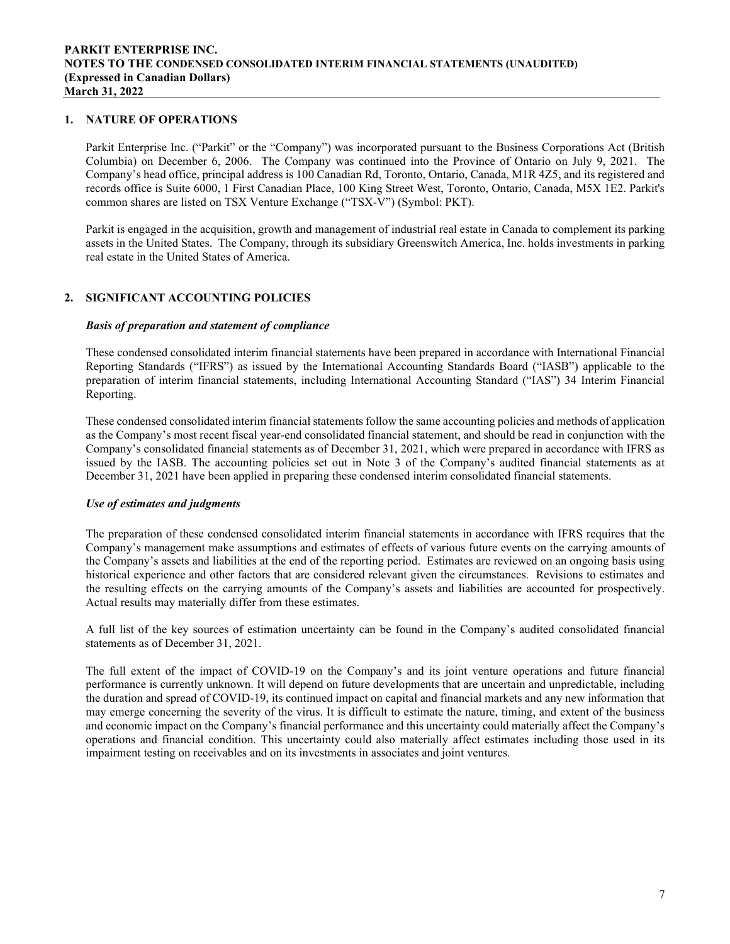## 1. NATURE OF OPERATIONS

Parkit Enterprise Inc. ("Parkit" or the "Company") was incorporated pursuant to the Business Corporations Act (British Columbia) on December 6, 2006. The Company was continued into the Province of Ontario on July 9, 2021. The Company's head office, principal address is 100 Canadian Rd, Toronto, Ontario, Canada, M1R 4Z5, and its registered and records office is Suite 6000, 1 First Canadian Place, 100 King Street West, Toronto, Ontario, Canada, M5X 1E2. Parkit's common shares are listed on TSX Venture Exchange ("TSX-V") (Symbol: PKT).

Parkit is engaged in the acquisition, growth and management of industrial real estate in Canada to complement its parking assets in the United States. The Company, through its subsidiary Greenswitch America, Inc. holds investments in parking real estate in the United States of America.

## 2. SIGNIFICANT ACCOUNTING POLICIES

#### Basis of preparation and statement of compliance

These condensed consolidated interim financial statements have been prepared in accordance with International Financial Reporting Standards ("IFRS") as issued by the International Accounting Standards Board ("IASB") applicable to the preparation of interim financial statements, including International Accounting Standard ("IAS") 34 Interim Financial Reporting.

These condensed consolidated interim financial statements follow the same accounting policies and methods of application as the Company's most recent fiscal year-end consolidated financial statement, and should be read in conjunction with the Company's consolidated financial statements as of December 31, 2021, which were prepared in accordance with IFRS as issued by the IASB. The accounting policies set out in Note 3 of the Company's audited financial statements as at December 31, 2021 have been applied in preparing these condensed interim consolidated financial statements.

#### Use of estimates and judgments

The preparation of these condensed consolidated interim financial statements in accordance with IFRS requires that the Company's management make assumptions and estimates of effects of various future events on the carrying amounts of the Company's assets and liabilities at the end of the reporting period. Estimates are reviewed on an ongoing basis using historical experience and other factors that are considered relevant given the circumstances. Revisions to estimates and the resulting effects on the carrying amounts of the Company's assets and liabilities are accounted for prospectively. Actual results may materially differ from these estimates.

A full list of the key sources of estimation uncertainty can be found in the Company's audited consolidated financial statements as of December 31, 2021.

The full extent of the impact of COVID-19 on the Company's and its joint venture operations and future financial performance is currently unknown. It will depend on future developments that are uncertain and unpredictable, including the duration and spread of COVID-19, its continued impact on capital and financial markets and any new information that may emerge concerning the severity of the virus. It is difficult to estimate the nature, timing, and extent of the business and economic impact on the Company's financial performance and this uncertainty could materially affect the Company's operations and financial condition. This uncertainty could also materially affect estimates including those used in its impairment testing on receivables and on its investments in associates and joint ventures.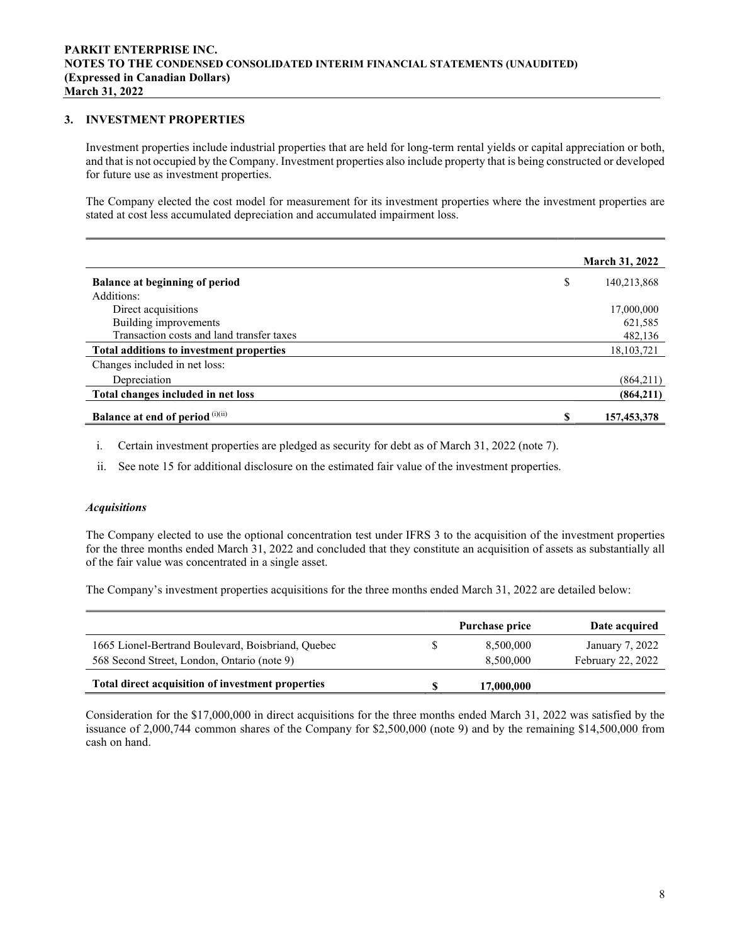## 3. INVESTMENT PROPERTIES

Investment properties include industrial properties that are held for long-term rental yields or capital appreciation or both, and that is not occupied by the Company. Investment properties also include property that is being constructed or developed for future use as investment properties.

The Company elected the cost model for measurement for its investment properties where the investment properties are stated at cost less accumulated depreciation and accumulated impairment loss.

|                                           |    | <b>March 31, 2022</b> |
|-------------------------------------------|----|-----------------------|
| <b>Balance at beginning of period</b>     | \$ | 140,213,868           |
| Additions:                                |    |                       |
| Direct acquisitions                       |    | 17,000,000            |
| Building improvements                     |    | 621,585               |
| Transaction costs and land transfer taxes |    | 482,136               |
| Total additions to investment properties  |    | 18, 103, 721          |
| Changes included in net loss:             |    |                       |
| Depreciation                              |    | (864,211)             |
| Total changes included in net loss        |    | (864,211)             |
| <b>Balance at end of period</b> (i)(ii)   | S  | 157,453,378           |

i. Certain investment properties are pledged as security for debt as of March 31, 2022 (note 7).

ii. See note 15 for additional disclosure on the estimated fair value of the investment properties.

## **Acquisitions**

The Company elected to use the optional concentration test under IFRS 3 to the acquisition of the investment properties for the three months ended March 31, 2022 and concluded that they constitute an acquisition of assets as substantially all of the fair value was concentrated in a single asset.

The Company's investment properties acquisitions for the three months ended March 31, 2022 are detailed below:

|                                                                                                   | Purchase price         | Date acquired                        |
|---------------------------------------------------------------------------------------------------|------------------------|--------------------------------------|
| 1665 Lionel-Bertrand Boulevard, Boisbriand, Quebec<br>568 Second Street, London, Ontario (note 9) | 8,500,000<br>8,500,000 | January 7, 2022<br>February 22, 2022 |
| Total direct acquisition of investment properties                                                 | 17,000,000             |                                      |

Consideration for the \$17,000,000 in direct acquisitions for the three months ended March 31, 2022 was satisfied by the issuance of 2,000,744 common shares of the Company for \$2,500,000 (note 9) and by the remaining \$14,500,000 from cash on hand.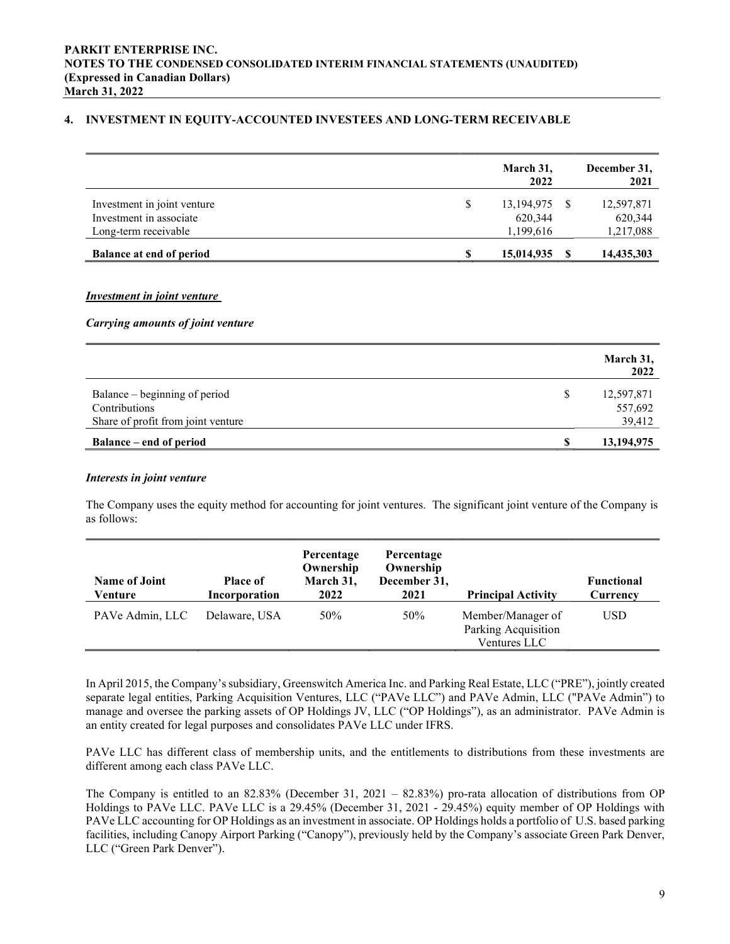## 4. INVESTMENT IN EQUITY-ACCOUNTED INVESTEES AND LONG-TERM RECEIVABLE

|                                                                                | March 31,<br>2022                        | December 31,<br>2021               |
|--------------------------------------------------------------------------------|------------------------------------------|------------------------------------|
| Investment in joint venture<br>Investment in associate<br>Long-term receivable | \$<br>13,194,975<br>620,344<br>1,199,616 | 12,597,871<br>620,344<br>1,217,088 |
| <b>Balance at end of period</b>                                                | 15,014,935                               | 14,435,303                         |

#### Investment in joint venture

#### Carrying amounts of joint venture

|                                                                                             |    | March 31,<br>2022               |
|---------------------------------------------------------------------------------------------|----|---------------------------------|
| Balance – beginning of period<br><b>Contributions</b><br>Share of profit from joint venture | S  | 12,597,871<br>557,692<br>39,412 |
| <b>Balance</b> – end of period                                                              | -S | 13,194,975                      |

#### Interests in joint venture

The Company uses the equity method for accounting for joint ventures. The significant joint venture of the Company is as follows:

| <b>Name of Joint</b><br>Venture | <b>Place of</b><br>Incorporation | Percentage<br>Ownership<br>March 31,<br>2022 | Percentage<br>Ownership<br>December 31,<br>2021 | <b>Principal Activity</b>                                | <b>Functional</b><br>Currency |
|---------------------------------|----------------------------------|----------------------------------------------|-------------------------------------------------|----------------------------------------------------------|-------------------------------|
| PAVe Admin, LLC                 | Delaware, USA                    | 50%                                          | 50%                                             | Member/Manager of<br>Parking Acquisition<br>Ventures LLC | <b>USD</b>                    |

In April 2015, the Company's subsidiary, Greenswitch America Inc. and Parking Real Estate, LLC ("PRE"), jointly created separate legal entities, Parking Acquisition Ventures, LLC ("PAVe LLC") and PAVe Admin, LLC ("PAVe Admin") to manage and oversee the parking assets of OP Holdings JV, LLC ("OP Holdings"), as an administrator. PAVe Admin is an entity created for legal purposes and consolidates PAVe LLC under IFRS.

PAVe LLC has different class of membership units, and the entitlements to distributions from these investments are different among each class PAVe LLC.

The Company is entitled to an 82.83% (December 31, 2021 – 82.83%) pro-rata allocation of distributions from OP Holdings to PAVe LLC. PAVe LLC is a 29.45% (December 31, 2021 - 29.45%) equity member of OP Holdings with PAVe LLC accounting for OP Holdings as an investment in associate. OP Holdings holds a portfolio of U.S. based parking facilities, including Canopy Airport Parking ("Canopy"), previously held by the Company's associate Green Park Denver, LLC ("Green Park Denver").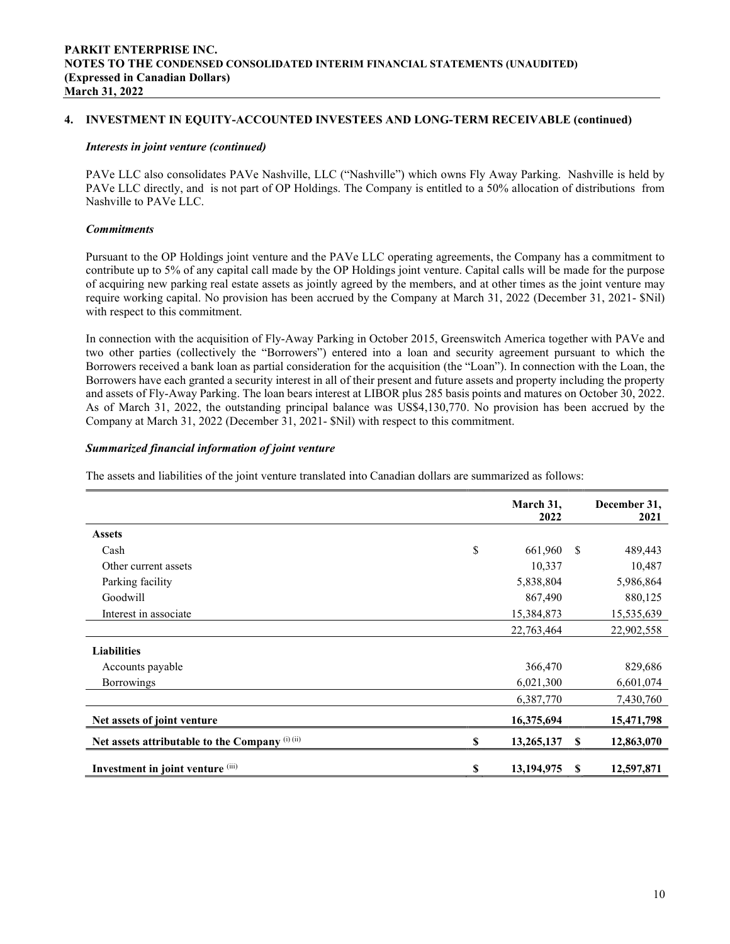## 4. INVESTMENT IN EQUITY-ACCOUNTED INVESTEES AND LONG-TERM RECEIVABLE (continued)

#### Interests in joint venture (continued)

PAVe LLC also consolidates PAVe Nashville, LLC ("Nashville") which owns Fly Away Parking. Nashville is held by PAVe LLC directly, and is not part of OP Holdings. The Company is entitled to a 50% allocation of distributions from Nashville to PAVe LLC.

### Commitments

Pursuant to the OP Holdings joint venture and the PAVe LLC operating agreements, the Company has a commitment to contribute up to 5% of any capital call made by the OP Holdings joint venture. Capital calls will be made for the purpose of acquiring new parking real estate assets as jointly agreed by the members, and at other times as the joint venture may require working capital. No provision has been accrued by the Company at March 31, 2022 (December 31, 2021- \$Nil) with respect to this commitment.

In connection with the acquisition of Fly-Away Parking in October 2015, Greenswitch America together with PAVe and two other parties (collectively the "Borrowers") entered into a loan and security agreement pursuant to which the Borrowers received a bank loan as partial consideration for the acquisition (the "Loan"). In connection with the Loan, the Borrowers have each granted a security interest in all of their present and future assets and property including the property and assets of Fly-Away Parking. The loan bears interest at LIBOR plus 285 basis points and matures on October 30, 2022. As of March 31, 2022, the outstanding principal balance was US\$4,130,770. No provision has been accrued by the Company at March 31, 2022 (December 31, 2021- \$Nil) with respect to this commitment.

## Summarized financial information of joint venture

The assets and liabilities of the joint venture translated into Canadian dollars are summarized as follows:

|                                                 | March 31,<br>2022  |    | December 31,<br>2021 |
|-------------------------------------------------|--------------------|----|----------------------|
| <b>Assets</b>                                   |                    |    |                      |
| Cash                                            | \$<br>661,960      | \$ | 489,443              |
| Other current assets                            | 10,337             |    | 10,487               |
| Parking facility                                | 5,838,804          |    | 5,986,864            |
| Goodwill                                        | 867,490            |    | 880,125              |
| Interest in associate                           | 15,384,873         |    | 15,535,639           |
|                                                 | 22,763,464         |    | 22,902,558           |
| <b>Liabilities</b>                              |                    |    |                      |
| Accounts payable                                | 366,470            |    | 829,686              |
| <b>Borrowings</b>                               | 6,021,300          |    | 6,601,074            |
|                                                 | 6,387,770          |    | 7,430,760            |
| Net assets of joint venture                     | 16,375,694         |    | 15,471,798           |
| Net assets attributable to the Company (i) (ii) | \$<br>13,265,137   | -S | 12,863,070           |
| Investment in joint venture (iii)               | \$<br>13, 194, 975 | S  | 12,597,871           |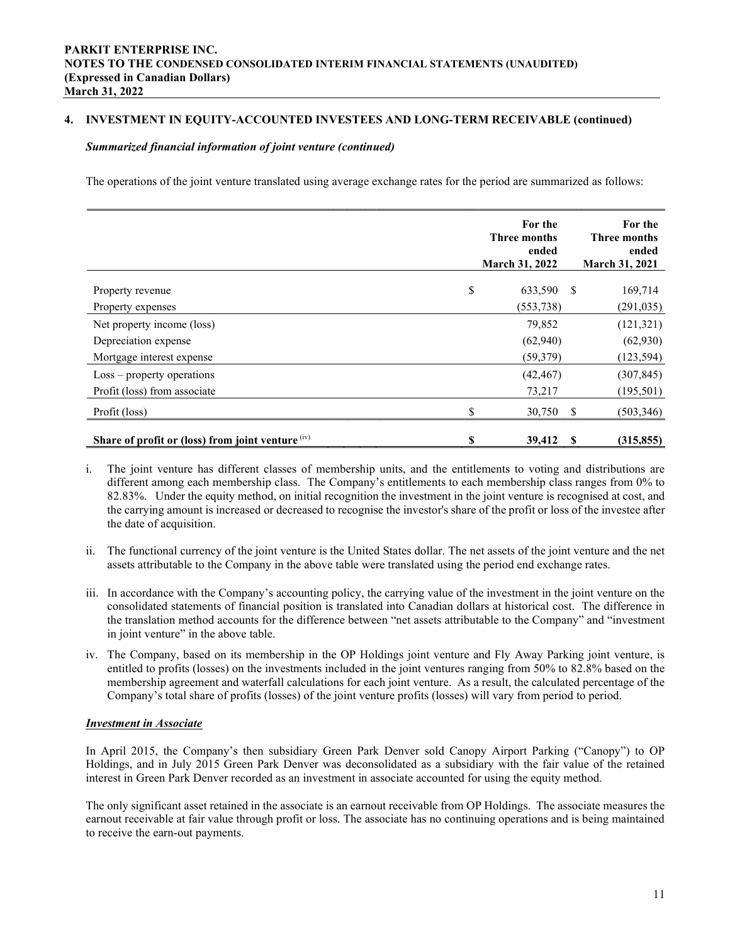## 4. INVESTMENT IN EQUITY-ACCOUNTED INVESTEES AND LONG-TERM RECEIVABLE (continued)

#### Summarized financial information of joint venture (continued)

The operations of the joint venture translated using average exchange rates for the period are summarized as follows:

|                                                    | For the<br>Three months<br>ended<br>March 31, 2022 |               | For the<br>Three months<br>ended<br><b>March 31, 2021</b> |
|----------------------------------------------------|----------------------------------------------------|---------------|-----------------------------------------------------------|
| Property revenue                                   | \$<br>633,590                                      | <sup>\$</sup> | 169,714                                                   |
| Property expenses                                  | (553, 738)                                         |               | (291, 035)                                                |
| Net property income (loss)                         | 79,852                                             |               | (121, 321)                                                |
| Depreciation expense                               | (62,940)                                           |               | (62,930)                                                  |
| Mortgage interest expense                          | (59, 379)                                          |               | (123, 594)                                                |
| $Loss$ – property operations                       | (42, 467)                                          |               | (307, 845)                                                |
| Profit (loss) from associate                       | 73,217                                             |               | (195, 501)                                                |
| Profit (loss)                                      | \$<br>30,750                                       | <sup>\$</sup> | (503, 346)                                                |
| Share of profit or (loss) from joint venture $(x)$ | \$<br>39,412                                       | S             | (315, 855)                                                |

- i. The joint venture has different classes of membership units, and the entitlements to voting and distributions are different among each membership class. The Company's entitlements to each membership class ranges from 0% to 82.83%. Under the equity method, on initial recognition the investment in the joint venture is recognised at cost, and the carrying amount is increased or decreased to recognise the investor's share of the profit or loss of the investee after the date of acquisition.
- ii. The functional currency of the joint venture is the United States dollar. The net assets of the joint venture and the net assets attributable to the Company in the above table were translated using the period end exchange rates.
- iii. In accordance with the Company's accounting policy, the carrying value of the investment in the joint venture on the consolidated statements of financial position is translated into Canadian dollars at historical cost. The difference in the translation method accounts for the difference between "net assets attributable to the Company" and "investment in joint venture" in the above table.
- iv. The Company, based on its membership in the OP Holdings joint venture and Fly Away Parking joint venture, is entitled to profits (losses) on the investments included in the joint ventures ranging from 50% to 82.8% based on the membership agreement and waterfall calculations for each joint venture. As a result, the calculated percentage of the Company's total share of profits (losses) of the joint venture profits (losses) will vary from period to period.

## Investment in Associate

In April 2015, the Company's then subsidiary Green Park Denver sold Canopy Airport Parking ("Canopy") to OP Holdings, and in July 2015 Green Park Denver was deconsolidated as a subsidiary with the fair value of the retained interest in Green Park Denver recorded as an investment in associate accounted for using the equity method.

The only significant asset retained in the associate is an earnout receivable from OP Holdings. The associate measures the earnout receivable at fair value through profit or loss. The associate has no continuing operations and is being maintained to receive the earn-out payments.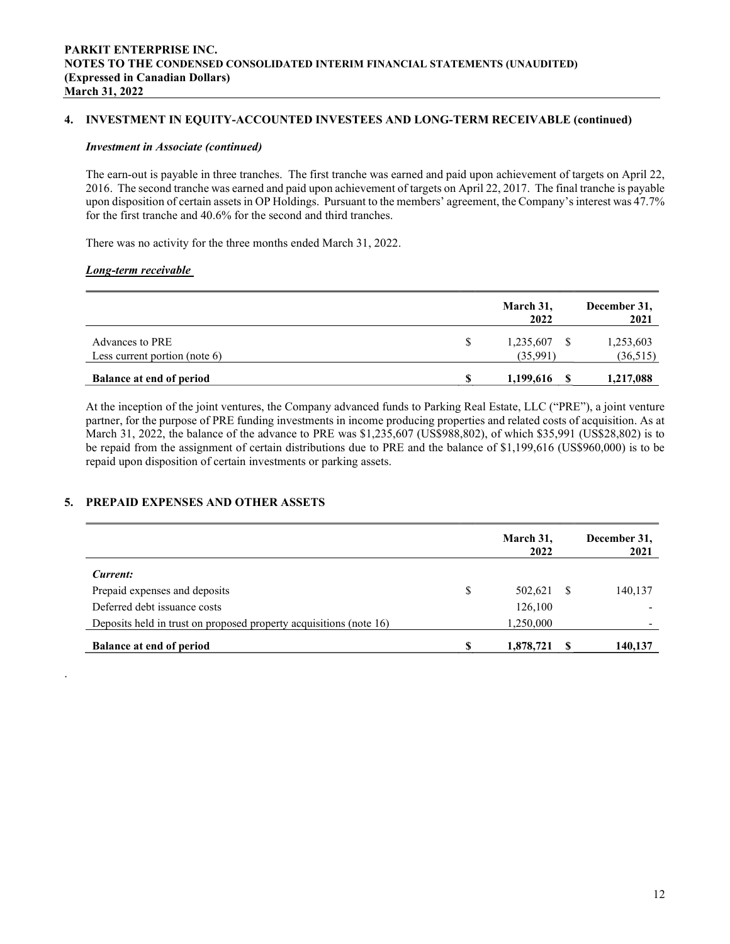## 4. INVESTMENT IN EQUITY-ACCOUNTED INVESTEES AND LONG-TERM RECEIVABLE (continued)

#### Investment in Associate (continued)

The earn-out is payable in three tranches. The first tranche was earned and paid upon achievement of targets on April 22, 2016. The second tranche was earned and paid upon achievement of targets on April 22, 2017. The final tranche is payable upon disposition of certain assets in OP Holdings. Pursuant to the members' agreement, the Company's interest was 47.7% for the first tranche and 40.6% for the second and third tranches.

There was no activity for the three months ended March 31, 2022.

#### Long-term receivable

.

|                                  |   | March 31,<br>2022 | December 31,<br>2021 |
|----------------------------------|---|-------------------|----------------------|
| Advances to PRE                  | S | 1,235,607         | 1,253,603            |
| Less current portion (note $6$ ) |   | (35,991)          | (36,515)             |
| <b>Balance at end of period</b>  |   | 1,199,616         | 1,217,088            |

At the inception of the joint ventures, the Company advanced funds to Parking Real Estate, LLC ("PRE"), a joint venture partner, for the purpose of PRE funding investments in income producing properties and related costs of acquisition. As at March 31, 2022, the balance of the advance to PRE was \$1,235,607 (US\$988,802), of which \$35,991 (US\$28,802) is to be repaid from the assignment of certain distributions due to PRE and the balance of \$1,199,616 (US\$960,000) is to be repaid upon disposition of certain investments or parking assets.

## 5. PREPAID EXPENSES AND OTHER ASSETS

|                                                                    |   | March 31,<br>2022 | December 31,<br>2021 |
|--------------------------------------------------------------------|---|-------------------|----------------------|
| Current:                                                           |   |                   |                      |
| Prepaid expenses and deposits                                      | S | 502,621           | 140,137              |
| Deferred debt issuance costs                                       |   | 126,100           |                      |
| Deposits held in trust on proposed property acquisitions (note 16) |   | 1,250,000         |                      |
| <b>Balance at end of period</b>                                    | S | 1,878,721         | 140,137              |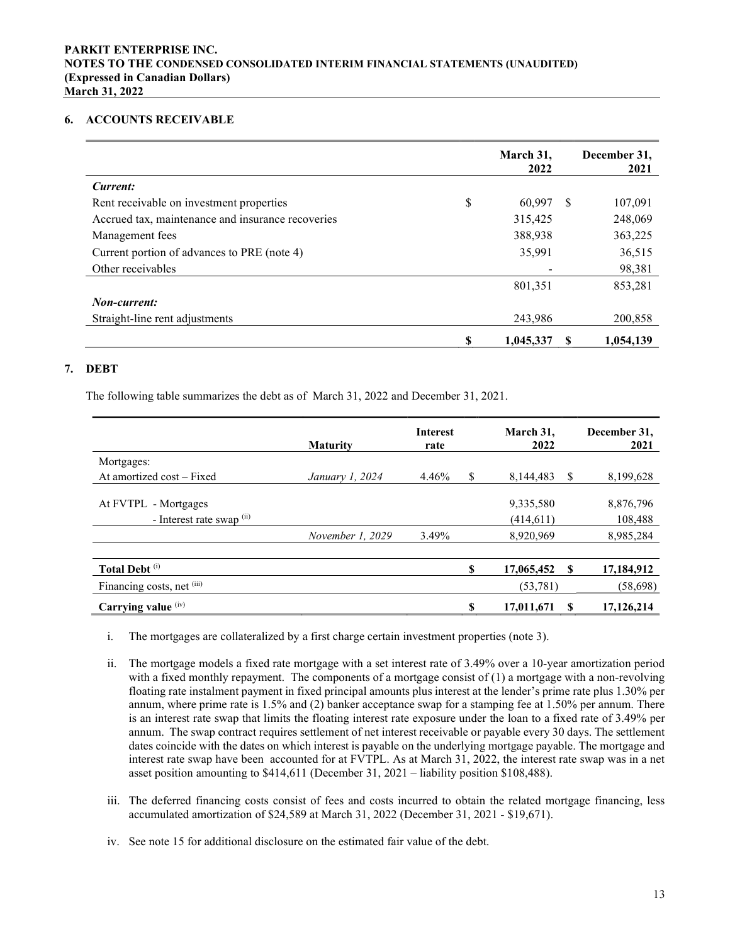#### 6. ACCOUNTS RECEIVABLE

|                                                   |    | March 31,<br>2022 |    | December 31,<br>2021 |
|---------------------------------------------------|----|-------------------|----|----------------------|
| Current:                                          |    |                   |    |                      |
| Rent receivable on investment properties          | \$ | 60.997            | -8 | 107,091              |
| Accrued tax, maintenance and insurance recoveries |    | 315,425           |    | 248,069              |
| Management fees                                   |    | 388,938           |    | 363,225              |
| Current portion of advances to PRE (note 4)       |    | 35,991            |    | 36,515               |
| Other receivables                                 |    |                   |    | 98,381               |
|                                                   |    | 801,351           |    | 853,281              |
| Non-current:                                      |    |                   |    |                      |
| Straight-line rent adjustments                    |    | 243,986           |    | 200,858              |
|                                                   | S  | 1,045,337         |    | 1,054,139            |

## 7. DEBT

The following table summarizes the debt as of March 31, 2022 and December 31, 2021.

|                                                    | <b>Maturity</b>  | <b>Interest</b><br>rate |    | March 31,<br>2022       |    | December 31,<br>2021 |
|----------------------------------------------------|------------------|-------------------------|----|-------------------------|----|----------------------|
| Mortgages:                                         |                  |                         |    |                         |    |                      |
| At amortized cost – Fixed                          | January 1, 2024  | 4.46%                   | \$ | 8,144,483               | -S | 8,199,628            |
| At FVTPL - Mortgages<br>- Interest rate swap $(i)$ |                  |                         |    | 9,335,580<br>(414, 611) |    | 8,876,796<br>108,488 |
|                                                    | November 1, 2029 | 3.49%                   |    | 8,920,969               |    | 8,985,284            |
|                                                    |                  |                         |    |                         |    |                      |
| Total Debt <sup>(i)</sup>                          |                  |                         | S  | 17,065,452              | -S | 17,184,912           |
| Financing costs, net (iii)                         |                  |                         |    | (53, 781)               |    | (58, 698)            |
| Carrying value (iv)                                |                  |                         | \$ | 17,011,671              |    | 17,126,214           |

- i. The mortgages are collateralized by a first charge certain investment properties (note 3).
- ii. The mortgage models a fixed rate mortgage with a set interest rate of 3.49% over a 10-year amortization period with a fixed monthly repayment. The components of a mortgage consist of  $(1)$  a mortgage with a non-revolving floating rate instalment payment in fixed principal amounts plus interest at the lender's prime rate plus 1.30% per annum, where prime rate is 1.5% and (2) banker acceptance swap for a stamping fee at 1.50% per annum. There is an interest rate swap that limits the floating interest rate exposure under the loan to a fixed rate of 3.49% per annum. The swap contract requires settlement of net interest receivable or payable every 30 days. The settlement dates coincide with the dates on which interest is payable on the underlying mortgage payable. The mortgage and interest rate swap have been accounted for at FVTPL. As at March 31, 2022, the interest rate swap was in a net asset position amounting to \$414,611 (December 31, 2021 – liability position \$108,488).
- iii. The deferred financing costs consist of fees and costs incurred to obtain the related mortgage financing, less accumulated amortization of \$24,589 at March 31, 2022 (December 31, 2021 - \$19,671).
- iv. See note 15 for additional disclosure on the estimated fair value of the debt.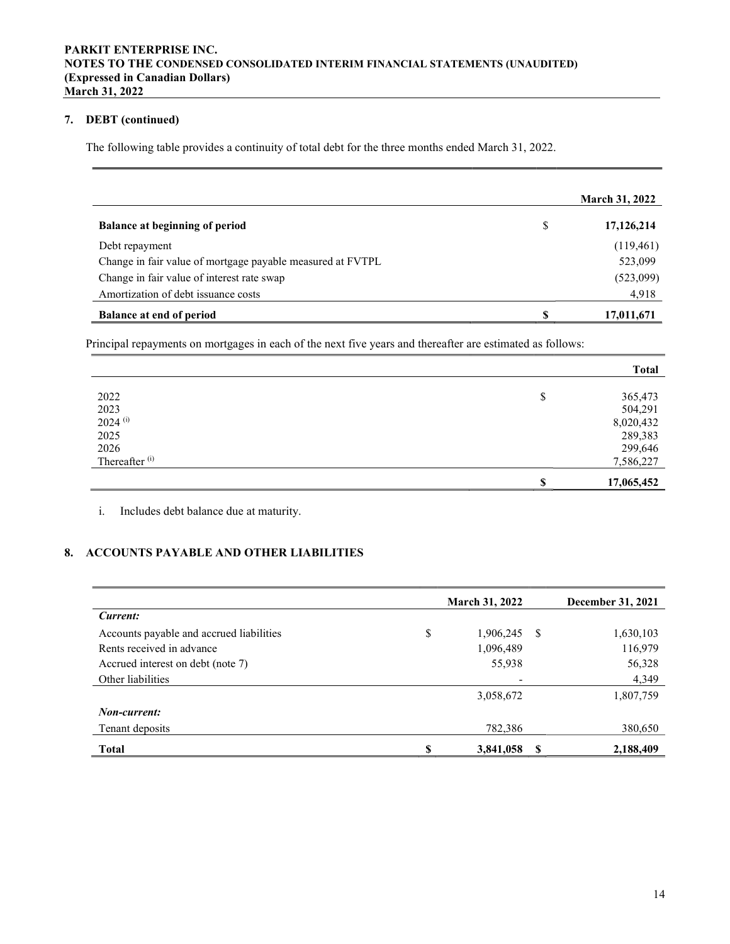## 7. DEBT (continued)

The following table provides a continuity of total debt for the three months ended March 31, 2022.

|                                                            |    | <b>March 31, 2022</b> |
|------------------------------------------------------------|----|-----------------------|
| <b>Balance at beginning of period</b>                      | \$ | 17,126,214            |
| Debt repayment                                             |    | (119, 461)            |
| Change in fair value of mortgage payable measured at FVTPL |    | 523,099               |
| Change in fair value of interest rate swap                 |    | (523,099)             |
| Amortization of debt issuance costs                        |    | 4,918                 |
| <b>Balance at end of period</b>                            | S  | 17,011,671            |

Principal repayments on mortgages in each of the next five years and thereafter are estimated as follows:

|                           |        | <b>Total</b> |
|---------------------------|--------|--------------|
|                           |        |              |
| 2022                      | Φ<br>Φ | 365,473      |
| 2023                      |        | 504,291      |
| $2024$ <sup>(i)</sup>     |        | 8,020,432    |
| 2025                      |        | 289,383      |
| 2026                      |        | 299,646      |
| Thereafter <sup>(i)</sup> |        | 7,586,227    |
|                           |        | 17,065,452   |

i. Includes debt balance due at maturity.

## 8. ACCOUNTS PAYABLE AND OTHER LIABILITIES

|                                          |    | <b>March 31, 2022</b> |    | December 31, 2021 |
|------------------------------------------|----|-----------------------|----|-------------------|
| Current:                                 |    |                       |    |                   |
| Accounts payable and accrued liabilities | \$ | 1,906,245             | S  | 1,630,103         |
| Rents received in advance                |    | 1,096,489             |    | 116,979           |
| Accrued interest on debt (note 7)        |    | 55,938                |    | 56,328            |
| Other liabilities                        |    |                       |    | 4,349             |
|                                          |    | 3,058,672             |    | 1,807,759         |
| Non-current:                             |    |                       |    |                   |
| Tenant deposits                          |    | 782,386               |    | 380,650           |
| <b>Total</b>                             | S  | 3,841,058             | -S | 2,188,409         |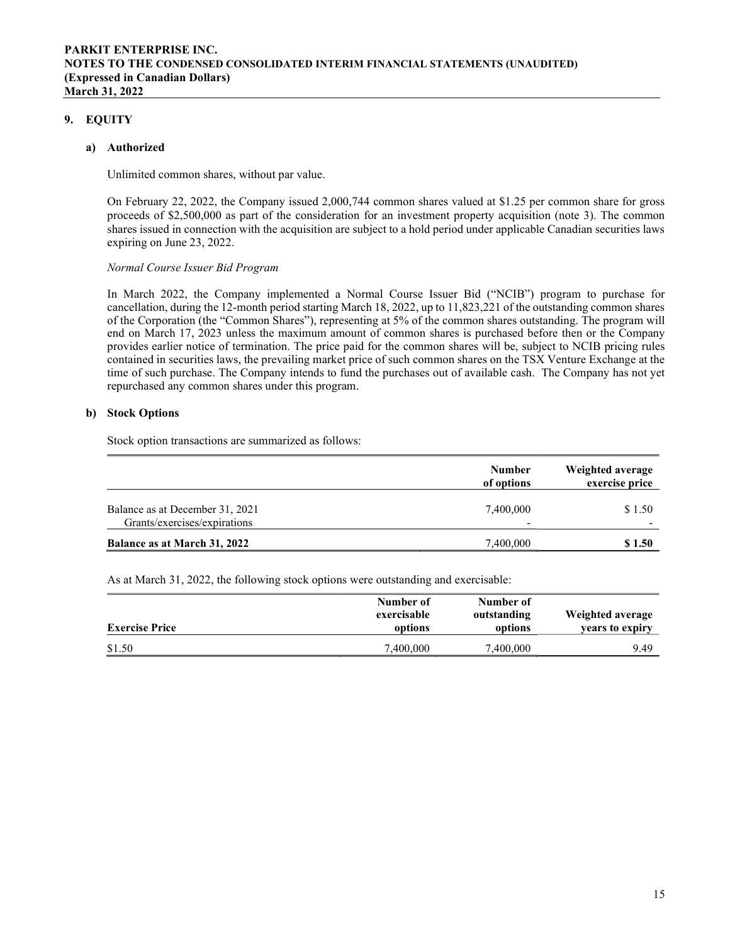## 9. EQUITY

#### a) Authorized

Unlimited common shares, without par value.

On February 22, 2022, the Company issued 2,000,744 common shares valued at \$1.25 per common share for gross proceeds of \$2,500,000 as part of the consideration for an investment property acquisition (note 3). The common shares issued in connection with the acquisition are subject to a hold period under applicable Canadian securities laws expiring on June 23, 2022.

#### Normal Course Issuer Bid Program

In March 2022, the Company implemented a Normal Course Issuer Bid ("NCIB") program to purchase for cancellation, during the 12-month period starting March 18, 2022, up to 11,823,221 of the outstanding common shares of the Corporation (the "Common Shares"), representing at 5% of the common shares outstanding. The program will end on March 17, 2023 unless the maximum amount of common shares is purchased before then or the Company provides earlier notice of termination. The price paid for the common shares will be, subject to NCIB pricing rules contained in securities laws, the prevailing market price of such common shares on the TSX Venture Exchange at the time of such purchase. The Company intends to fund the purchases out of available cash. The Company has not yet repurchased any common shares under this program.

## b) Stock Options

Stock option transactions are summarized as follows:

|                                                                 | <b>Number</b><br>of options | Weighted average<br>exercise price |
|-----------------------------------------------------------------|-----------------------------|------------------------------------|
| Balance as at December 31, 2021<br>Grants/exercises/expirations | 7,400,000<br>-              | \$1.50                             |
| Balance as at March 31, 2022                                    | 7,400,000                   | \$1.50                             |

As at March 31, 2022, the following stock options were outstanding and exercisable:

| <b>Exercise Price</b> | Number of<br>exercisable<br>options | Number of<br>outstanding<br>options | Weighted average<br>vears to expiry |
|-----------------------|-------------------------------------|-------------------------------------|-------------------------------------|
| \$1.50                | 7,400,000                           | 7,400,000                           | 9.49                                |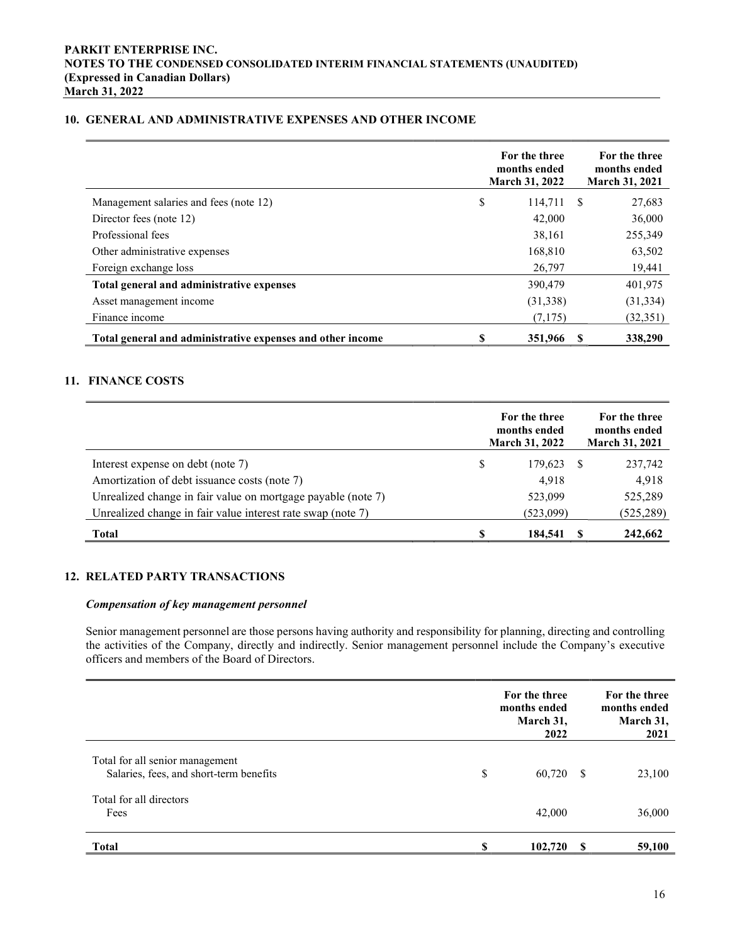## 10. GENERAL AND ADMINISTRATIVE EXPENSES AND OTHER INCOME

|                                                            |    | For the three<br>months ended<br><b>March 31, 2022</b> |               | For the three<br>months ended<br><b>March 31, 2021</b> |
|------------------------------------------------------------|----|--------------------------------------------------------|---------------|--------------------------------------------------------|
| Management salaries and fees (note 12)                     | \$ | 114,711                                                | <sup>\$</sup> | 27,683                                                 |
| Director fees (note 12)                                    |    | 42,000                                                 |               | 36,000                                                 |
| Professional fees                                          |    | 38,161                                                 |               | 255,349                                                |
| Other administrative expenses                              |    | 168,810                                                |               | 63,502                                                 |
| Foreign exchange loss                                      |    | 26,797                                                 |               | 19,441                                                 |
| Total general and administrative expenses                  |    | 390,479                                                |               | 401,975                                                |
| Asset management income                                    |    | (31,338)                                               |               | (31, 334)                                              |
| Finance income                                             |    | (7,175)                                                |               | (32, 351)                                              |
| Total general and administrative expenses and other income | S  | 351,966                                                |               | 338,290                                                |

## 11. FINANCE COSTS

|                                                              |   | For the three<br>months ended<br><b>March 31, 2022</b> | For the three<br>months ended<br><b>March 31, 2021</b> |
|--------------------------------------------------------------|---|--------------------------------------------------------|--------------------------------------------------------|
| Interest expense on debt (note 7)                            | S | 179,623                                                | 237,742                                                |
| Amortization of debt issuance costs (note 7)                 |   | 4,918                                                  | 4,918                                                  |
| Unrealized change in fair value on mortgage payable (note 7) |   | 523,099                                                | 525,289                                                |
| Unrealized change in fair value interest rate swap (note 7)  |   | (523,099)                                              | (525, 289)                                             |
| <b>Total</b>                                                 |   | 184,541                                                | 242,662                                                |

## 12. RELATED PARTY TRANSACTIONS

#### Compensation of key management personnel

Senior management personnel are those persons having authority and responsibility for planning, directing and controlling the activities of the Company, directly and indirectly. Senior management personnel include the Company's executive officers and members of the Board of Directors.

|                                                                            |    | For the three<br>months ended<br>March 31,<br>2022 | For the three<br>months ended<br>March 31,<br>2021 |
|----------------------------------------------------------------------------|----|----------------------------------------------------|----------------------------------------------------|
| Total for all senior management<br>Salaries, fees, and short-term benefits | \$ | 60,720 \$                                          | 23,100                                             |
| Total for all directors<br>Fees                                            |    | 42,000                                             | 36,000                                             |
| <b>Total</b>                                                               | S  | 102,720                                            | 59,100                                             |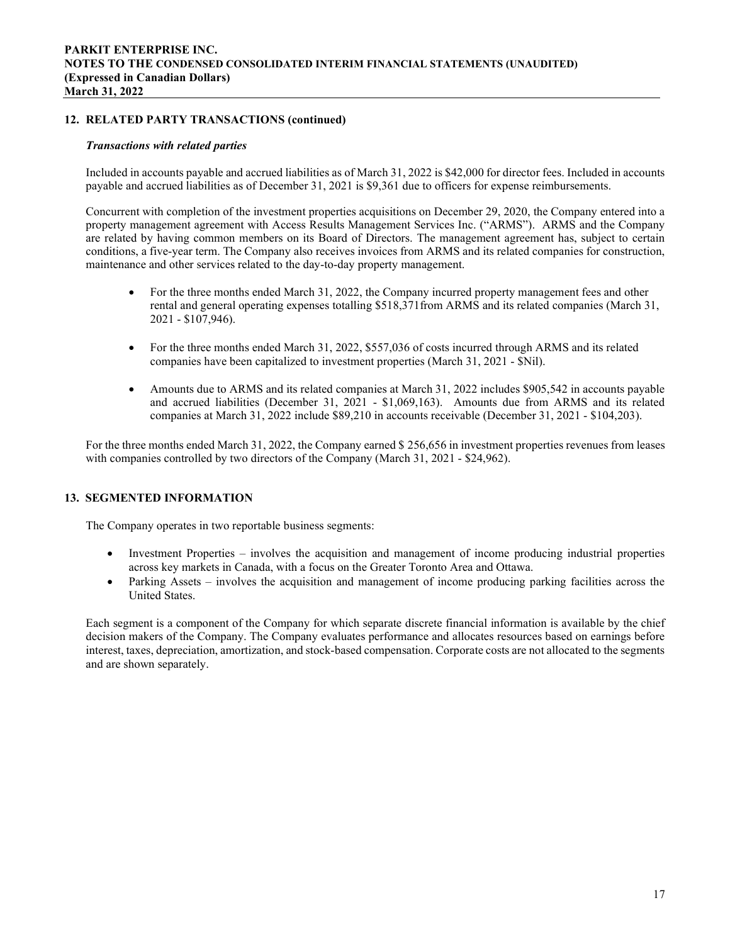### 12. RELATED PARTY TRANSACTIONS (continued)

#### Transactions with related parties

Included in accounts payable and accrued liabilities as of March 31, 2022 is \$42,000 for director fees. Included in accounts payable and accrued liabilities as of December 31, 2021 is \$9,361 due to officers for expense reimbursements.

Concurrent with completion of the investment properties acquisitions on December 29, 2020, the Company entered into a property management agreement with Access Results Management Services Inc. ("ARMS"). ARMS and the Company are related by having common members on its Board of Directors. The management agreement has, subject to certain conditions, a five-year term. The Company also receives invoices from ARMS and its related companies for construction, maintenance and other services related to the day-to-day property management.

- For the three months ended March 31, 2022, the Company incurred property management fees and other rental and general operating expenses totalling \$518,371from ARMS and its related companies (March 31, 2021 - \$107,946).
- For the three months ended March 31, 2022, \$557,036 of costs incurred through ARMS and its related companies have been capitalized to investment properties (March 31, 2021 - \$Nil).
- Amounts due to ARMS and its related companies at March 31, 2022 includes \$905,542 in accounts payable and accrued liabilities (December 31, 2021 - \$1,069,163). Amounts due from ARMS and its related companies at March 31, 2022 include \$89,210 in accounts receivable (December 31, 2021 - \$104,203).

For the three months ended March 31, 2022, the Company earned \$ 256,656 in investment properties revenues from leases with companies controlled by two directors of the Company (March 31, 2021 - \$24,962).

## 13. SEGMENTED INFORMATION

The Company operates in two reportable business segments:

- Investment Properties involves the acquisition and management of income producing industrial properties across key markets in Canada, with a focus on the Greater Toronto Area and Ottawa.
- Parking Assets involves the acquisition and management of income producing parking facilities across the United States.

Each segment is a component of the Company for which separate discrete financial information is available by the chief decision makers of the Company. The Company evaluates performance and allocates resources based on earnings before interest, taxes, depreciation, amortization, and stock-based compensation. Corporate costs are not allocated to the segments and are shown separately.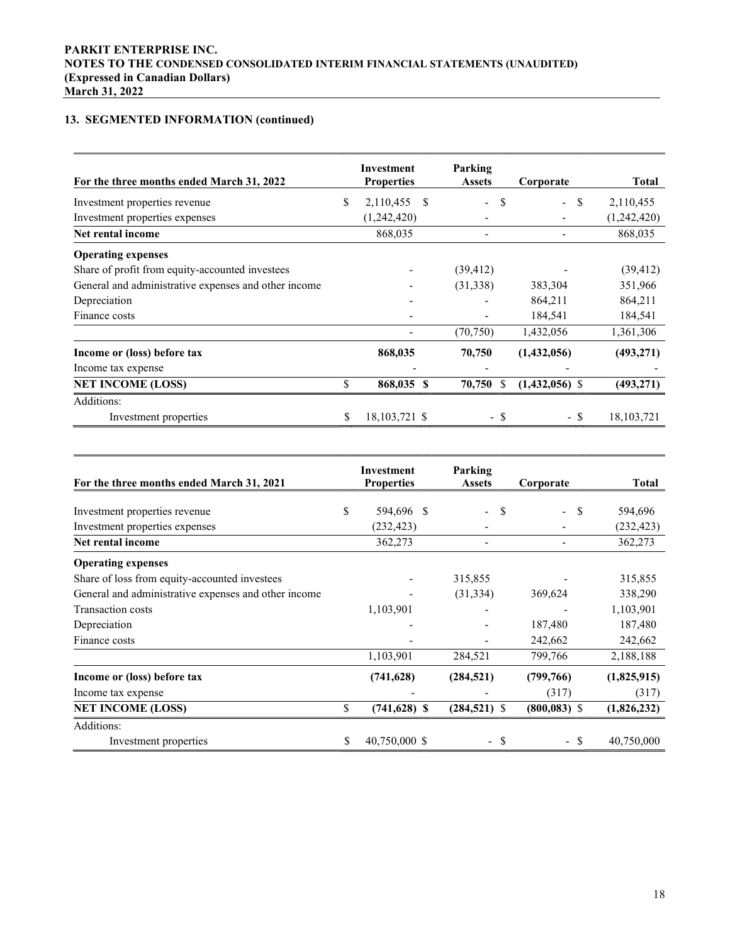# 13. SEGMENTED INFORMATION (continued)

| For the three months ended March 31, 2022            |    | Investment<br><b>Properties</b> | Parking<br><b>Assets</b>      | Corporate                                 | Total        |
|------------------------------------------------------|----|---------------------------------|-------------------------------|-------------------------------------------|--------------|
| Investment properties revenue                        | \$ | 2,110,455<br>-S                 | S<br>$\overline{\phantom{0}}$ | <sup>\$</sup><br>$\overline{\phantom{0}}$ | 2,110,455    |
| Investment properties expenses                       |    | (1,242,420)                     |                               |                                           | (1,242,420)  |
| Net rental income                                    |    | 868,035                         |                               |                                           | 868,035      |
| <b>Operating expenses</b>                            |    |                                 |                               |                                           |              |
| Share of profit from equity-accounted investees      |    |                                 | (39, 412)                     |                                           | (39, 412)    |
| General and administrative expenses and other income |    |                                 | (31,338)                      | 383,304                                   | 351,966      |
| Depreciation                                         |    |                                 |                               | 864,211                                   | 864,211      |
| Finance costs                                        |    |                                 |                               | 184,541                                   | 184,541      |
|                                                      |    |                                 | (70, 750)                     | 1,432,056                                 | 1,361,306    |
| Income or (loss) before tax                          |    | 868,035                         | 70,750                        | (1,432,056)                               | (493, 271)   |
| Income tax expense                                   |    |                                 |                               |                                           |              |
| <b>NET INCOME (LOSS)</b>                             | \$ | 868,035 \$                      | 70,750<br>S                   | $(1,432,056)$ \$                          | (493, 271)   |
| Additions:                                           |    |                                 |                               |                                           |              |
| Investment properties                                | S  | 18, 103, 721 \$                 | - \$                          | - \$                                      | 18, 103, 721 |

| For the three months ended March 31, 2021            | Investment<br><b>Properties</b> | Parking<br><b>Assets</b>                  | Corporate                                    | <b>Total</b> |
|------------------------------------------------------|---------------------------------|-------------------------------------------|----------------------------------------------|--------------|
|                                                      |                                 |                                           |                                              |              |
| Investment properties revenue                        | \$<br>594,696 \$                | <sup>\$</sup><br>$\overline{\phantom{0}}$ | <sup>\$</sup><br>$\mathcal{L}_{\mathcal{A}}$ | 594,696      |
| Investment properties expenses                       | (232, 423)                      |                                           |                                              | (232, 423)   |
| Net rental income                                    | 362,273                         |                                           |                                              | 362,273      |
| <b>Operating expenses</b>                            |                                 |                                           |                                              |              |
| Share of loss from equity-accounted investees        |                                 | 315,855                                   |                                              | 315,855      |
| General and administrative expenses and other income |                                 | (31, 334)                                 | 369,624                                      | 338,290      |
| Transaction costs                                    | 1,103,901                       |                                           |                                              | 1,103,901    |
| Depreciation                                         |                                 |                                           | 187,480                                      | 187,480      |
| Finance costs                                        |                                 |                                           | 242,662                                      | 242,662      |
|                                                      | 1,103,901                       | 284,521                                   | 799,766                                      | 2,188,188    |
| Income or (loss) before tax                          | (741, 628)                      | (284, 521)                                | (799,766)                                    | (1,825,915)  |
| Income tax expense                                   |                                 |                                           | (317)                                        | (317)        |
| <b>NET INCOME (LOSS)</b>                             | \$<br>$(741, 628)$ \$           | $(284, 521)$ \$                           | $(800, 083)$ \$                              | (1,826,232)  |
| Additions:                                           |                                 |                                           |                                              |              |
| Investment properties                                | \$<br>40,750,000 \$             | - \$                                      | - \$                                         | 40,750,000   |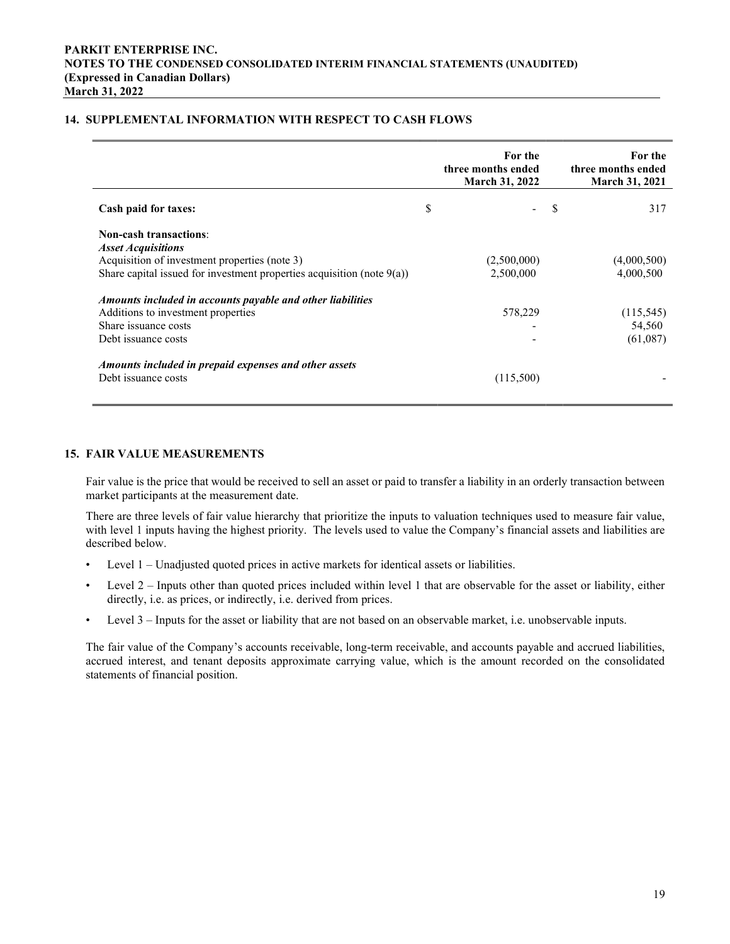## 14. SUPPLEMENTAL INFORMATION WITH RESPECT TO CASH FLOWS

|                                                                                                                                                                                          | For the<br>three months ended<br><b>March 31, 2022</b> |    | For the<br>three months ended<br><b>March 31, 2021</b> |
|------------------------------------------------------------------------------------------------------------------------------------------------------------------------------------------|--------------------------------------------------------|----|--------------------------------------------------------|
| <b>Cash paid for taxes:</b>                                                                                                                                                              | \$                                                     | -S | 317                                                    |
| <b>Non-cash transactions:</b><br><b>Asset Acquisitions</b><br>Acquisition of investment properties (note 3)<br>Share capital issued for investment properties acquisition (note $9(a)$ ) | (2,500,000)<br>2,500,000                               |    | (4,000,500)<br>4,000,500                               |
| Amounts included in accounts payable and other liabilities<br>Additions to investment properties<br>Share issuance costs<br>Debt issuance costs                                          | 578,229                                                |    | (115, 545)<br>54,560<br>(61,087)                       |
| Amounts included in prepaid expenses and other assets<br>Debt issuance costs                                                                                                             | (115,500)                                              |    |                                                        |

#### 15. FAIR VALUE MEASUREMENTS

Fair value is the price that would be received to sell an asset or paid to transfer a liability in an orderly transaction between market participants at the measurement date.

There are three levels of fair value hierarchy that prioritize the inputs to valuation techniques used to measure fair value, with level 1 inputs having the highest priority. The levels used to value the Company's financial assets and liabilities are described below.

- Level 1 Unadjusted quoted prices in active markets for identical assets or liabilities.
- Level 2 Inputs other than quoted prices included within level 1 that are observable for the asset or liability, either directly, i.e. as prices, or indirectly, i.e. derived from prices.
- Level 3 Inputs for the asset or liability that are not based on an observable market, i.e. unobservable inputs.

The fair value of the Company's accounts receivable, long-term receivable, and accounts payable and accrued liabilities, accrued interest, and tenant deposits approximate carrying value, which is the amount recorded on the consolidated statements of financial position.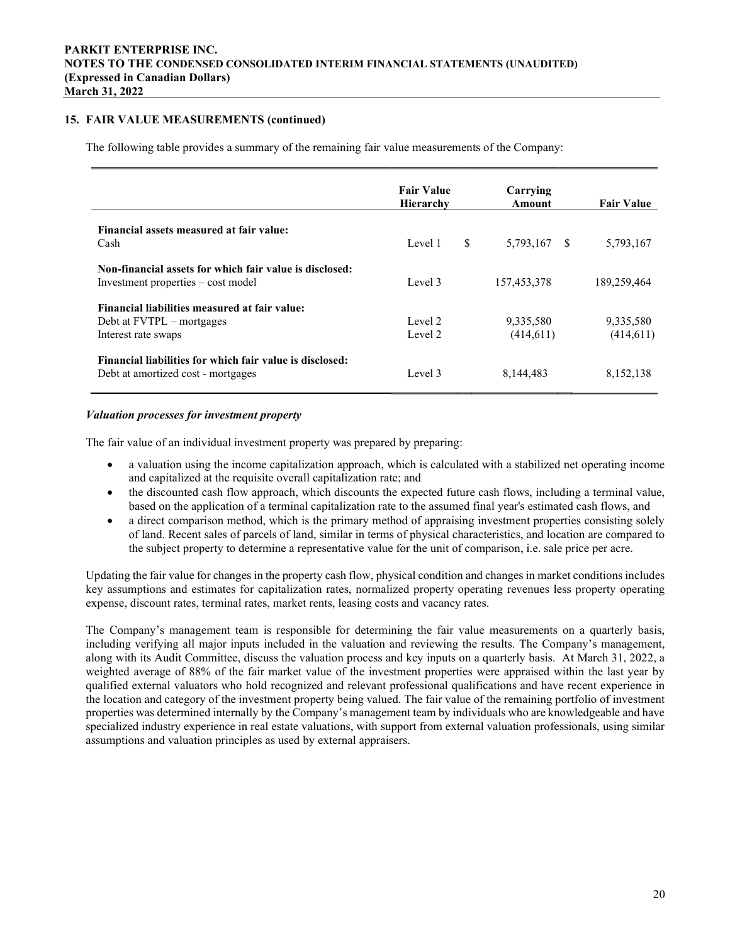## 15. FAIR VALUE MEASUREMENTS (continued)

The following table provides a summary of the remaining fair value measurements of the Company:

|                                                                                                   | <b>Fair Value</b><br><b>Hierarchy</b> | Carrying<br>Amount     | <b>Fair Value</b>       |
|---------------------------------------------------------------------------------------------------|---------------------------------------|------------------------|-------------------------|
| Financial assets measured at fair value:<br>Cash                                                  | \$<br>Level 1                         | 5,793,167<br>- \$      | 5,793,167               |
| Non-financial assets for which fair value is disclosed:<br>Investment properties – cost model     | Level 3                               | 157,453,378            | 189,259,464             |
| Financial liabilities measured at fair value:<br>Debt at FVTPL – mortgages<br>Interest rate swaps | Level 2<br>Level 2                    | 9,335,580<br>(414,611) | 9,335,580<br>(414, 611) |
| Financial liabilities for which fair value is disclosed:<br>Debt at amortized cost - mortgages    | Level 3                               | 8,144,483              | 8,152,138               |

#### Valuation processes for investment property

The fair value of an individual investment property was prepared by preparing:

- a valuation using the income capitalization approach, which is calculated with a stabilized net operating income and capitalized at the requisite overall capitalization rate; and
- the discounted cash flow approach, which discounts the expected future cash flows, including a terminal value, based on the application of a terminal capitalization rate to the assumed final year's estimated cash flows, and
- a direct comparison method, which is the primary method of appraising investment properties consisting solely of land. Recent sales of parcels of land, similar in terms of physical characteristics, and location are compared to the subject property to determine a representative value for the unit of comparison, i.e. sale price per acre.

Updating the fair value for changes in the property cash flow, physical condition and changes in market conditions includes key assumptions and estimates for capitalization rates, normalized property operating revenues less property operating expense, discount rates, terminal rates, market rents, leasing costs and vacancy rates.

The Company's management team is responsible for determining the fair value measurements on a quarterly basis, including verifying all major inputs included in the valuation and reviewing the results. The Company's management, along with its Audit Committee, discuss the valuation process and key inputs on a quarterly basis. At March 31, 2022, a weighted average of 88% of the fair market value of the investment properties were appraised within the last year by qualified external valuators who hold recognized and relevant professional qualifications and have recent experience in the location and category of the investment property being valued. The fair value of the remaining portfolio of investment properties was determined internally by the Company's management team by individuals who are knowledgeable and have specialized industry experience in real estate valuations, with support from external valuation professionals, using similar assumptions and valuation principles as used by external appraisers.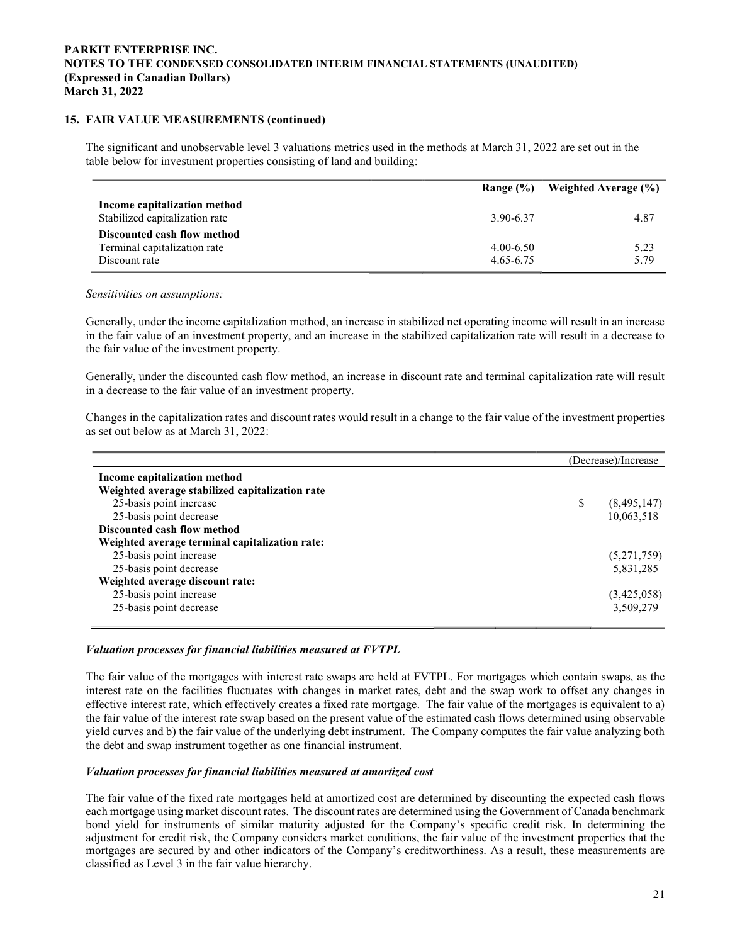#### 15. FAIR VALUE MEASUREMENTS (continued)

The significant and unobservable level 3 valuations metrics used in the methods at March 31, 2022 are set out in the table below for investment properties consisting of land and building:

|                                                                              | Range $(\% )$                  | Weighted Average (%) |
|------------------------------------------------------------------------------|--------------------------------|----------------------|
| Income capitalization method<br>Stabilized capitalization rate               | 3.90-6.37                      | 4.87                 |
| Discounted cash flow method<br>Terminal capitalization rate<br>Discount rate | $4.00 - 6.50$<br>$4.65 - 6.75$ | 5.23<br>5.79         |

Sensitivities on assumptions:

Generally, under the income capitalization method, an increase in stabilized net operating income will result in an increase in the fair value of an investment property, and an increase in the stabilized capitalization rate will result in a decrease to the fair value of the investment property.

Generally, under the discounted cash flow method, an increase in discount rate and terminal capitalization rate will result in a decrease to the fair value of an investment property.

Changes in the capitalization rates and discount rates would result in a change to the fair value of the investment properties as set out below as at March 31, 2022:

|                                                 | (Decrease)/Increase |             |
|-------------------------------------------------|---------------------|-------------|
| Income capitalization method                    |                     |             |
| Weighted average stabilized capitalization rate |                     |             |
| 25-basis point increase                         | \$                  | (8,495,147) |
| 25-basis point decrease                         |                     | 10,063,518  |
| Discounted cash flow method                     |                     |             |
| Weighted average terminal capitalization rate:  |                     |             |
| 25-basis point increase                         |                     | (5,271,759) |
| 25-basis point decrease                         |                     | 5,831,285   |
| Weighted average discount rate:                 |                     |             |
| 25-basis point increase                         |                     | (3,425,058) |
| 25-basis point decrease                         |                     | 3,509,279   |

## Valuation processes for financial liabilities measured at FVTPL

The fair value of the mortgages with interest rate swaps are held at FVTPL. For mortgages which contain swaps, as the interest rate on the facilities fluctuates with changes in market rates, debt and the swap work to offset any changes in effective interest rate, which effectively creates a fixed rate mortgage. The fair value of the mortgages is equivalent to a) the fair value of the interest rate swap based on the present value of the estimated cash flows determined using observable yield curves and b) the fair value of the underlying debt instrument. The Company computes the fair value analyzing both the debt and swap instrument together as one financial instrument.

#### Valuation processes for financial liabilities measured at amortized cost

The fair value of the fixed rate mortgages held at amortized cost are determined by discounting the expected cash flows each mortgage using market discount rates. The discount rates are determined using the Government of Canada benchmark bond yield for instruments of similar maturity adjusted for the Company's specific credit risk. In determining the adjustment for credit risk, the Company considers market conditions, the fair value of the investment properties that the mortgages are secured by and other indicators of the Company's creditworthiness. As a result, these measurements are classified as Level 3 in the fair value hierarchy.